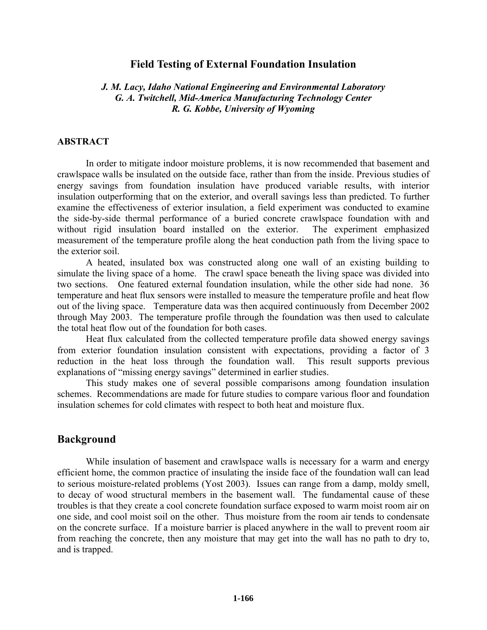# **Field Testing of External Foundation Insulation**

# *J. M. Lacy, Idaho National Engineering and Environmental Laboratory G. A. Twitchell, Mid-America Manufacturing Technology Center R. G. Kobbe, University of Wyoming*

### **ABSTRACT**

In order to mitigate indoor moisture problems, it is now recommended that basement and crawlspace walls be insulated on the outside face, rather than from the inside. Previous studies of energy savings from foundation insulation have produced variable results, with interior insulation outperforming that on the exterior, and overall savings less than predicted. To further examine the effectiveness of exterior insulation, a field experiment was conducted to examine the side-by-side thermal performance of a buried concrete crawlspace foundation with and without rigid insulation board installed on the exterior. The experiment emphasized measurement of the temperature profile along the heat conduction path from the living space to the exterior soil.

A heated, insulated box was constructed along one wall of an existing building to simulate the living space of a home. The crawl space beneath the living space was divided into two sections. One featured external foundation insulation, while the other side had none. 36 temperature and heat flux sensors were installed to measure the temperature profile and heat flow out of the living space. Temperature data was then acquired continuously from December 2002 through May 2003. The temperature profile through the foundation was then used to calculate the total heat flow out of the foundation for both cases.

Heat flux calculated from the collected temperature profile data showed energy savings from exterior foundation insulation consistent with expectations, providing a factor of 3 reduction in the heat loss through the foundation wall. This result supports previous explanations of "missing energy savings" determined in earlier studies.

This study makes one of several possible comparisons among foundation insulation schemes. Recommendations are made for future studies to compare various floor and foundation insulation schemes for cold climates with respect to both heat and moisture flux.

# **Background**

While insulation of basement and crawlspace walls is necessary for a warm and energy efficient home, the common practice of insulating the inside face of the foundation wall can lead to serious moisture-related problems (Yost 2003). Issues can range from a damp, moldy smell, to decay of wood structural members in the basement wall. The fundamental cause of these troubles is that they create a cool concrete foundation surface exposed to warm moist room air on one side, and cool moist soil on the other. Thus moisture from the room air tends to condensate on the concrete surface. If a moisture barrier is placed anywhere in the wall to prevent room air from reaching the concrete, then any moisture that may get into the wall has no path to dry to, and is trapped.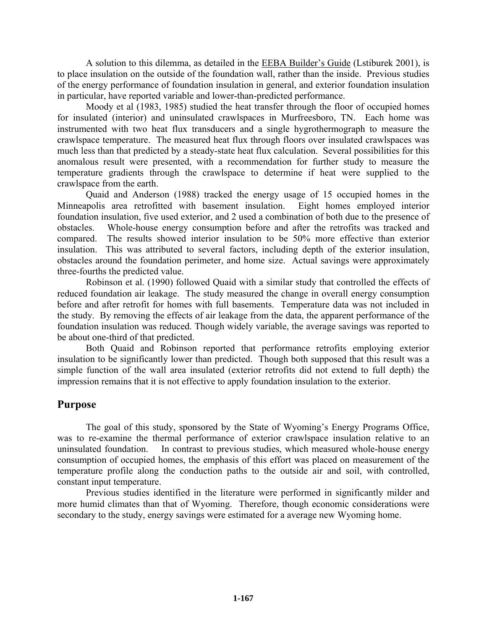A solution to this dilemma, as detailed in the EEBA Builder's Guide (Lstiburek 2001), is to place insulation on the outside of the foundation wall, rather than the inside. Previous studies of the energy performance of foundation insulation in general, and exterior foundation insulation in particular, have reported variable and lower-than-predicted performance.

Moody et al (1983, 1985) studied the heat transfer through the floor of occupied homes for insulated (interior) and uninsulated crawlspaces in Murfreesboro, TN. Each home was instrumented with two heat flux transducers and a single hygrothermograph to measure the crawlspace temperature. The measured heat flux through floors over insulated crawlspaces was much less than that predicted by a steady-state heat flux calculation. Several possibilities for this anomalous result were presented, with a recommendation for further study to measure the temperature gradients through the crawlspace to determine if heat were supplied to the crawlspace from the earth.

Quaid and Anderson (1988) tracked the energy usage of 15 occupied homes in the Minneapolis area retrofitted with basement insulation. Eight homes employed interior foundation insulation, five used exterior, and 2 used a combination of both due to the presence of obstacles. Whole-house energy consumption before and after the retrofits was tracked and compared. The results showed interior insulation to be 50% more effective than exterior insulation. This was attributed to several factors, including depth of the exterior insulation, obstacles around the foundation perimeter, and home size. Actual savings were approximately three-fourths the predicted value.

Robinson et al. (1990) followed Quaid with a similar study that controlled the effects of reduced foundation air leakage. The study measured the change in overall energy consumption before and after retrofit for homes with full basements. Temperature data was not included in the study. By removing the effects of air leakage from the data, the apparent performance of the foundation insulation was reduced. Though widely variable, the average savings was reported to be about one-third of that predicted.

Both Quaid and Robinson reported that performance retrofits employing exterior insulation to be significantly lower than predicted. Though both supposed that this result was a simple function of the wall area insulated (exterior retrofits did not extend to full depth) the impression remains that it is not effective to apply foundation insulation to the exterior.

# **Purpose**

The goal of this study, sponsored by the State of Wyoming's Energy Programs Office, was to re-examine the thermal performance of exterior crawlspace insulation relative to an uninsulated foundation. In contrast to previous studies, which measured whole-house energy consumption of occupied homes, the emphasis of this effort was placed on measurement of the temperature profile along the conduction paths to the outside air and soil, with controlled, constant input temperature.

Previous studies identified in the literature were performed in significantly milder and more humid climates than that of Wyoming. Therefore, though economic considerations were secondary to the study, energy savings were estimated for a average new Wyoming home.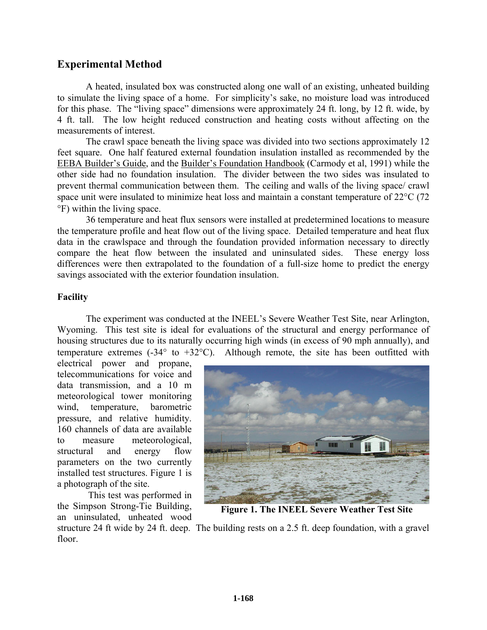# **Experimental Method**

A heated, insulated box was constructed along one wall of an existing, unheated building to simulate the living space of a home. For simplicity's sake, no moisture load was introduced for this phase. The "living space" dimensions were approximately 24 ft. long, by 12 ft. wide, by 4 ft. tall. The low height reduced construction and heating costs without affecting on the measurements of interest.

The crawl space beneath the living space was divided into two sections approximately 12 feet square. One half featured external foundation insulation installed as recommended by the EEBA Builder's Guide, and the Builder's Foundation Handbook (Carmody et al, 1991) while the other side had no foundation insulation. The divider between the two sides was insulated to prevent thermal communication between them. The ceiling and walls of the living space/ crawl space unit were insulated to minimize heat loss and maintain a constant temperature of 22<sup>o</sup>C (72) °F) within the living space.

36 temperature and heat flux sensors were installed at predetermined locations to measure the temperature profile and heat flow out of the living space. Detailed temperature and heat flux data in the crawlspace and through the foundation provided information necessary to directly compare the heat flow between the insulated and uninsulated sides. These energy loss differences were then extrapolated to the foundation of a full-size home to predict the energy savings associated with the exterior foundation insulation.

# **Facility**

The experiment was conducted at the INEEL's Severe Weather Test Site, near Arlington, Wyoming. This test site is ideal for evaluations of the structural and energy performance of housing structures due to its naturally occurring high winds (in excess of 90 mph annually), and temperature extremes  $(-34^{\circ}$  to  $+32^{\circ}$ C). Although remote, the site has been outfitted with

electrical power and propane, telecommunications for voice and data transmission, and a 10 m meteorological tower monitoring wind, temperature, barometric pressure, and relative humidity. 160 channels of data are available to measure meteorological, structural and energy flow parameters on the two currently installed test structures. Figure 1 is a photograph of the site.

 This test was performed in the Simpson Strong-Tie Building, an uninsulated, unheated wood



**Figure 1. The INEEL Severe Weather Test Site** 

structure 24 ft wide by 24 ft. deep. The building rests on a 2.5 ft. deep foundation, with a gravel floor.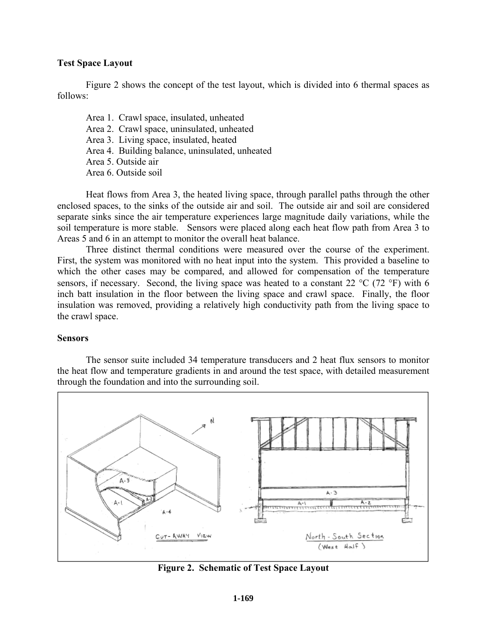# **Test Space Layout**

Figure 2 shows the concept of the test layout, which is divided into 6 thermal spaces as follows:

Area 1. Crawl space, insulated, unheated Area 2. Crawl space, uninsulated, unheated Area 3. Living space, insulated, heated Area 4. Building balance, uninsulated, unheated Area 5. Outside air Area 6. Outside soil

Heat flows from Area 3, the heated living space, through parallel paths through the other enclosed spaces, to the sinks of the outside air and soil. The outside air and soil are considered separate sinks since the air temperature experiences large magnitude daily variations, while the soil temperature is more stable. Sensors were placed along each heat flow path from Area 3 to Areas 5 and 6 in an attempt to monitor the overall heat balance.

Three distinct thermal conditions were measured over the course of the experiment. First, the system was monitored with no heat input into the system. This provided a baseline to which the other cases may be compared, and allowed for compensation of the temperature sensors, if necessary. Second, the living space was heated to a constant 22  $^{\circ}$ C (72  $^{\circ}$ F) with 6 inch batt insulation in the floor between the living space and crawl space. Finally, the floor insulation was removed, providing a relatively high conductivity path from the living space to the crawl space.

# **Sensors**

The sensor suite included 34 temperature transducers and 2 heat flux sensors to monitor the heat flow and temperature gradients in and around the test space, with detailed measurement through the foundation and into the surrounding soil.



**Figure 2. Schematic of Test Space Layout**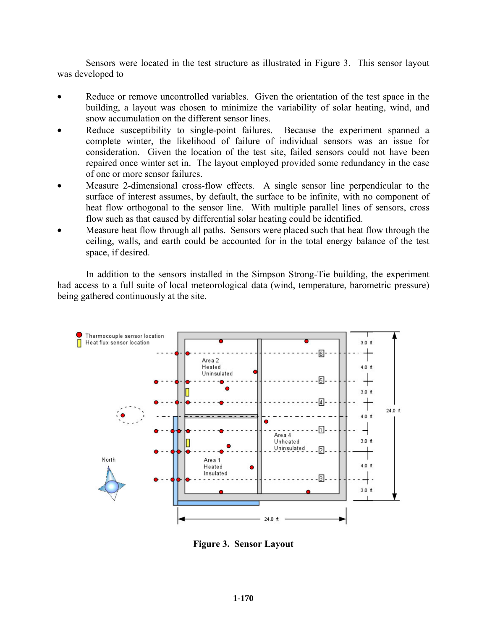Sensors were located in the test structure as illustrated in Figure 3. This sensor layout was developed to

- Reduce or remove uncontrolled variables. Given the orientation of the test space in the building, a layout was chosen to minimize the variability of solar heating, wind, and snow accumulation on the different sensor lines.
- Reduce susceptibility to single-point failures. Because the experiment spanned a complete winter, the likelihood of failure of individual sensors was an issue for consideration. Given the location of the test site, failed sensors could not have been repaired once winter set in. The layout employed provided some redundancy in the case of one or more sensor failures.
- Measure 2-dimensional cross-flow effects. A single sensor line perpendicular to the surface of interest assumes, by default, the surface to be infinite, with no component of heat flow orthogonal to the sensor line. With multiple parallel lines of sensors, cross flow such as that caused by differential solar heating could be identified.
- Measure heat flow through all paths. Sensors were placed such that heat flow through the ceiling, walls, and earth could be accounted for in the total energy balance of the test space, if desired.

In addition to the sensors installed in the Simpson Strong-Tie building, the experiment had access to a full suite of local meteorological data (wind, temperature, barometric pressure) being gathered continuously at the site.



**Figure 3. Sensor Layout**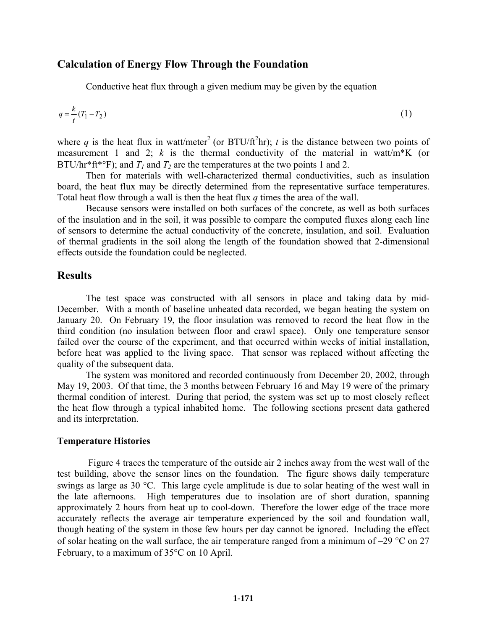## **Calculation of Energy Flow Through the Foundation**

Conductive heat flux through a given medium may be given by the equation

$$
q = \frac{k}{t}(T_1 - T_2) \tag{1}
$$

where q is the heat flux in watt/meter<sup>2</sup> (or BTU/ft<sup>2</sup>hr); *t* is the distance between two points of measurement 1 and 2; *k* is the thermal conductivity of the material in watt/m\*K (or BTU/hr<sup>\*</sup>ft<sup>\*o</sup>F); and  $T_1$  and  $T_2$  are the temperatures at the two points 1 and 2.

Then for materials with well-characterized thermal conductivities, such as insulation board, the heat flux may be directly determined from the representative surface temperatures. Total heat flow through a wall is then the heat flux *q* times the area of the wall.

Because sensors were installed on both surfaces of the concrete, as well as both surfaces of the insulation and in the soil, it was possible to compare the computed fluxes along each line of sensors to determine the actual conductivity of the concrete, insulation, and soil. Evaluation of thermal gradients in the soil along the length of the foundation showed that 2-dimensional effects outside the foundation could be neglected.

# **Results**

The test space was constructed with all sensors in place and taking data by mid-December. With a month of baseline unheated data recorded, we began heating the system on January 20. On February 19, the floor insulation was removed to record the heat flow in the third condition (no insulation between floor and crawl space). Only one temperature sensor failed over the course of the experiment, and that occurred within weeks of initial installation, before heat was applied to the living space. That sensor was replaced without affecting the quality of the subsequent data.

The system was monitored and recorded continuously from December 20, 2002, through May 19, 2003. Of that time, the 3 months between February 16 and May 19 were of the primary thermal condition of interest. During that period, the system was set up to most closely reflect the heat flow through a typical inhabited home. The following sections present data gathered and its interpretation.

#### **Temperature Histories**

 Figure 4 traces the temperature of the outside air 2 inches away from the west wall of the test building, above the sensor lines on the foundation. The figure shows daily temperature swings as large as 30 °C. This large cycle amplitude is due to solar heating of the west wall in the late afternoons. High temperatures due to insolation are of short duration, spanning approximately 2 hours from heat up to cool-down. Therefore the lower edge of the trace more accurately reflects the average air temperature experienced by the soil and foundation wall, though heating of the system in those few hours per day cannot be ignored. Including the effect of solar heating on the wall surface, the air temperature ranged from a minimum of  $-29$  °C on 27 February, to a maximum of 35°C on 10 April.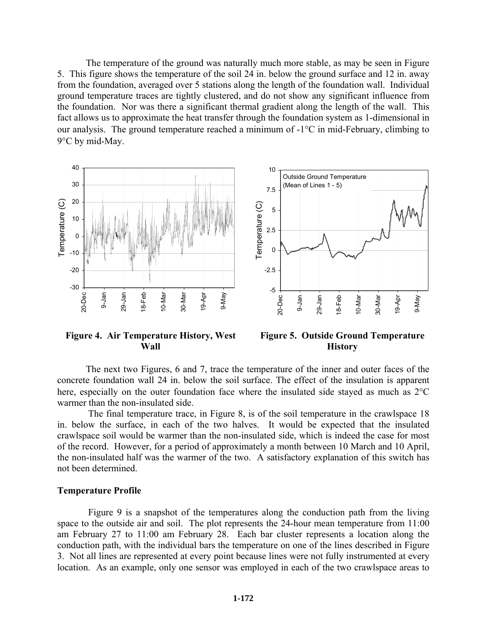The temperature of the ground was naturally much more stable, as may be seen in Figure 5. This figure shows the temperature of the soil 24 in. below the ground surface and 12 in. away from the foundation, averaged over 5 stations along the length of the foundation wall. Individual ground temperature traces are tightly clustered, and do not show any significant influence from the foundation. Nor was there a significant thermal gradient along the length of the wall. This fact allows us to approximate the heat transfer through the foundation system as 1-dimensional in our analysis. The ground temperature reached a minimum of -1°C in mid-February, climbing to 9°C by mid-May.



### **Figure 4. Air Temperature History, West Wall**

**Figure 5. Outside Ground Temperature History** 

The next two Figures, 6 and 7, trace the temperature of the inner and outer faces of the concrete foundation wall 24 in. below the soil surface. The effect of the insulation is apparent here, especially on the outer foundation face where the insulated side stayed as much as 2°C warmer than the non-insulated side.

 The final temperature trace, in Figure 8, is of the soil temperature in the crawlspace 18 in. below the surface, in each of the two halves. It would be expected that the insulated crawlspace soil would be warmer than the non-insulated side, which is indeed the case for most of the record. However, for a period of approximately a month between 10 March and 10 April, the non-insulated half was the warmer of the two. A satisfactory explanation of this switch has not been determined.

#### **Temperature Profile**

 Figure 9 is a snapshot of the temperatures along the conduction path from the living space to the outside air and soil. The plot represents the 24-hour mean temperature from 11:00 am February 27 to 11:00 am February 28. Each bar cluster represents a location along the conduction path, with the individual bars the temperature on one of the lines described in Figure 3. Not all lines are represented at every point because lines were not fully instrumented at every location. As an example, only one sensor was employed in each of the two crawlspace areas to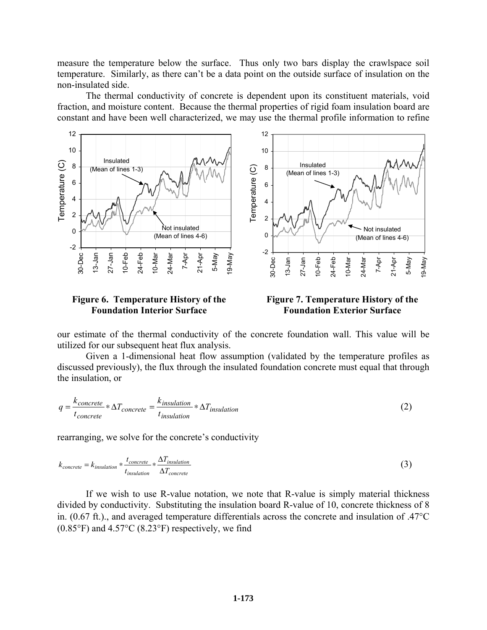measure the temperature below the surface. Thus only two bars display the crawlspace soil temperature. Similarly, as there can't be a data point on the outside surface of insulation on the non-insulated side.

The thermal conductivity of concrete is dependent upon its constituent materials, void fraction, and moisture content. Because the thermal properties of rigid foam insulation board are constant and have been well characterized, we may use the thermal profile information to refine



**Figure 6. Temperature History of the Foundation Interior Surface** 

**Figure 7. Temperature History of the Foundation Exterior Surface** 

our estimate of the thermal conductivity of the concrete foundation wall. This value will be utilized for our subsequent heat flux analysis.

Given a 1-dimensional heat flow assumption (validated by the temperature profiles as discussed previously), the flux through the insulated foundation concrete must equal that through the insulation, or

$$
q = \frac{k_{concrete}}{t_{concrete}} * \Delta T_{concrete} = \frac{k_{insulation}}{t_{insulation}} * \Delta T_{insulation}
$$
 (2)

rearranging, we solve for the concrete's conductivity

$$
k_{concrete} = k_{insulation} * \frac{t_{concrete}}{t_{insulation}} * \frac{\Delta T_{insulation}}{\Delta T_{concrete}}
$$
\n(3)

If we wish to use R-value notation, we note that R-value is simply material thickness divided by conductivity. Substituting the insulation board R-value of 10, concrete thickness of 8 in. (0.67 ft.)., and averaged temperature differentials across the concrete and insulation of .47°C  $(0.85^{\circ}F)$  and  $4.57^{\circ}C$   $(8.23^{\circ}F)$  respectively, we find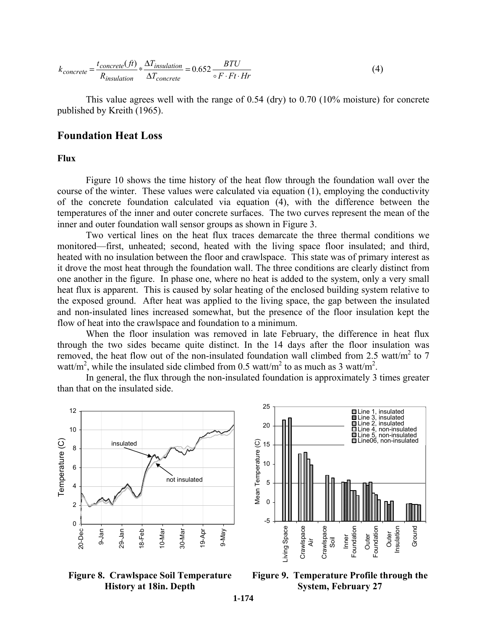$$
k_{concrete} = \frac{t_{concrete}(ft)}{R_{insulation}} * \frac{\Delta T_{insulation}}{\Delta T_{concrete}} = 0.652 \frac{BTU}{\circ F \cdot Ft \cdot Hr}
$$
(4)

This value agrees well with the range of 0.54 (dry) to 0.70 (10% moisture) for concrete published by Kreith (1965).

### **Foundation Heat Loss**

### **Flux**

Figure 10 shows the time history of the heat flow through the foundation wall over the course of the winter. These values were calculated via equation (1), employing the conductivity of the concrete foundation calculated via equation (4), with the difference between the temperatures of the inner and outer concrete surfaces. The two curves represent the mean of the inner and outer foundation wall sensor groups as shown in Figure 3.

Two vertical lines on the heat flux traces demarcate the three thermal conditions we monitored—first, unheated; second, heated with the living space floor insulated; and third, heated with no insulation between the floor and crawlspace. This state was of primary interest as it drove the most heat through the foundation wall. The three conditions are clearly distinct from one another in the figure. In phase one, where no heat is added to the system, only a very small heat flux is apparent. This is caused by solar heating of the enclosed building system relative to the exposed ground. After heat was applied to the living space, the gap between the insulated and non-insulated lines increased somewhat, but the presence of the floor insulation kept the flow of heat into the crawlspace and foundation to a minimum.

When the floor insulation was removed in late February, the difference in heat flux through the two sides became quite distinct. In the 14 days after the floor insulation was removed, the heat flow out of the non-insulated foundation wall climbed from 2.5 watt/ $m^2$  to 7 watt/m<sup>2</sup>, while the insulated side climbed from 0.5 watt/m<sup>2</sup> to as much as 3 watt/m<sup>2</sup>.

In general, the flux through the non-insulated foundation is approximately 3 times greater than that on the insulated side.







**Figure 9. Temperature Profile through the System, February 27**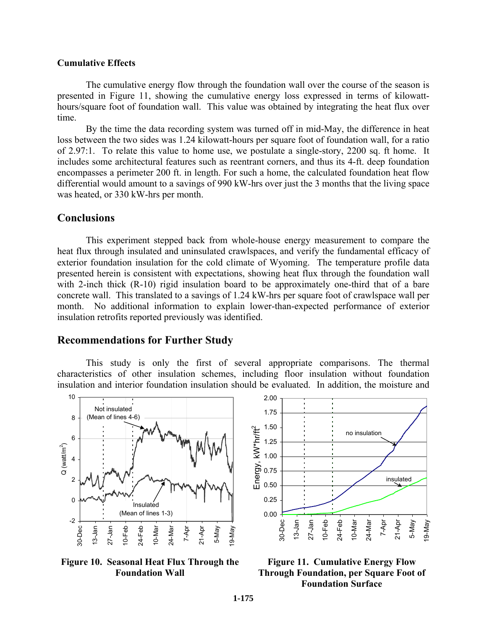#### **Cumulative Effects**

The cumulative energy flow through the foundation wall over the course of the season is presented in Figure 11, showing the cumulative energy loss expressed in terms of kilowatthours/square foot of foundation wall. This value was obtained by integrating the heat flux over time.

By the time the data recording system was turned off in mid-May, the difference in heat loss between the two sides was 1.24 kilowatt-hours per square foot of foundation wall, for a ratio of 2.97:1. To relate this value to home use, we postulate a single-story, 2200 sq. ft home. It includes some architectural features such as reentrant corners, and thus its 4-ft. deep foundation encompasses a perimeter 200 ft. in length. For such a home, the calculated foundation heat flow differential would amount to a savings of 990 kW-hrs over just the 3 months that the living space was heated, or 330 kW-hrs per month.

# **Conclusions**

This experiment stepped back from whole-house energy measurement to compare the heat flux through insulated and uninsulated crawlspaces, and verify the fundamental efficacy of exterior foundation insulation for the cold climate of Wyoming. The temperature profile data presented herein is consistent with expectations, showing heat flux through the foundation wall with 2-inch thick (R-10) rigid insulation board to be approximately one-third that of a bare concrete wall. This translated to a savings of 1.24 kW-hrs per square foot of crawlspace wall per month. No additional information to explain lower-than-expected performance of exterior insulation retrofits reported previously was identified.

### **Recommendations for Further Study**

This study is only the first of several appropriate comparisons. The thermal characteristics of other insulation schemes, including floor insulation without foundation insulation and interior foundation insulation should be evaluated. In addition, the moisture and